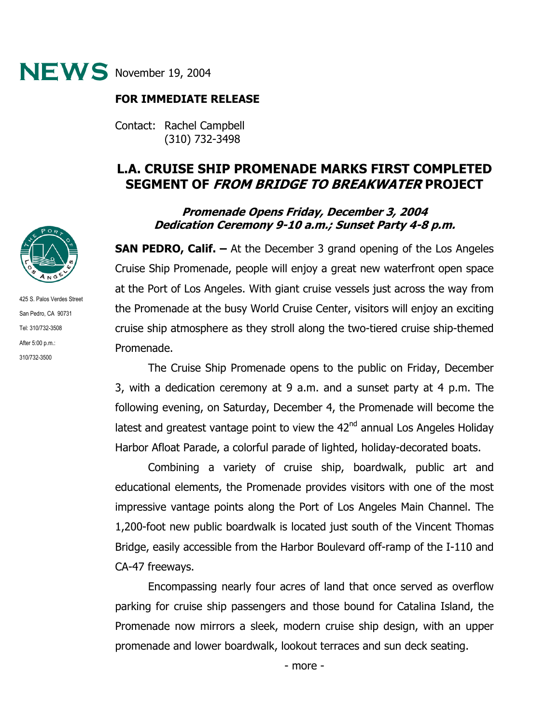

## **FOR IMMEDIATE RELEASE**

Contact: Rachel Campbell (310) 732-3498

## **L.A. CRUISE SHIP PROMENADE MARKS FIRST COMPLETED SEGMENT OF FROM BRIDGE TO BREAKWATER PROJECT**

## **Promenade Opens Friday, December 3, 2004 Dedication Ceremony 9-10 a.m.; Sunset Party 4-8 p.m.**

**SAN PEDRO, Calif. –** At the December 3 grand opening of the Los Angeles Cruise Ship Promenade, people will enjoy a great new waterfront open space at the Port of Los Angeles. With giant cruise vessels just across the way from the Promenade at the busy World Cruise Center, visitors will enjoy an exciting cruise ship atmosphere as they stroll along the two-tiered cruise ship-themed Promenade.

The Cruise Ship Promenade opens to the public on Friday, December 3, with a dedication ceremony at 9 a.m. and a sunset party at 4 p.m. The following evening, on Saturday, December 4, the Promenade will become the latest and greatest vantage point to view the  $42<sup>nd</sup>$  annual Los Angeles Holiday Harbor Afloat Parade, a colorful parade of lighted, holiday-decorated boats.

 Combining a variety of cruise ship, boardwalk, public art and educational elements, the Promenade provides visitors with one of the most impressive vantage points along the Port of Los Angeles Main Channel. The 1,200-foot new public boardwalk is located just south of the Vincent Thomas Bridge, easily accessible from the Harbor Boulevard off-ramp of the I-110 and CA-47 freeways.

Encompassing nearly four acres of land that once served as overflow parking for cruise ship passengers and those bound for Catalina Island, the Promenade now mirrors a sleek, modern cruise ship design, with an upper promenade and lower boardwalk, lookout terraces and sun deck seating.



425 S. Palos Verdes Street San Pedro, CA 90731 Tel: 310/732-3508 After 5:00 p.m.: 310/732-3500